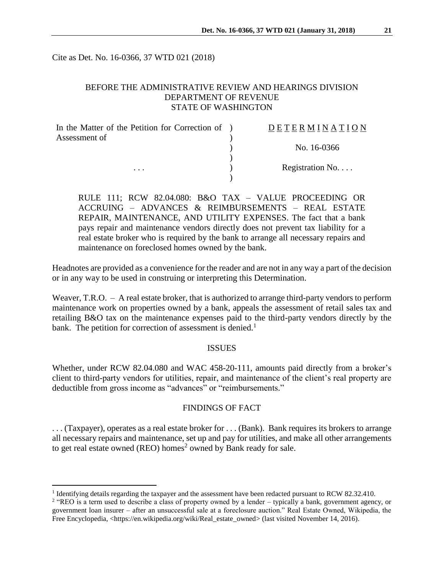Cite as Det. No. 16-0366, 37 WTD 021 (2018)

### BEFORE THE ADMINISTRATIVE REVIEW AND HEARINGS DIVISION DEPARTMENT OF REVENUE STATE OF WASHINGTON

| In the Matter of the Petition for Correction of ) | DETERMINATION   |
|---------------------------------------------------|-----------------|
| Assessment of                                     |                 |
|                                                   | No. 16-0366     |
|                                                   |                 |
| $\cdots$                                          | Registration No |
|                                                   |                 |

RULE 111; RCW 82.04.080: B&O TAX – VALUE PROCEEDING OR ACCRUING – ADVANCES & REIMBURSEMENTS – REAL ESTATE REPAIR, MAINTENANCE, AND UTILITY EXPENSES. The fact that a bank pays repair and maintenance vendors directly does not prevent tax liability for a real estate broker who is required by the bank to arrange all necessary repairs and maintenance on foreclosed homes owned by the bank.

Headnotes are provided as a convenience for the reader and are not in any way a part of the decision or in any way to be used in construing or interpreting this Determination.

Weaver, T.R.O. – A real estate broker, that is authorized to arrange third-party vendors to perform maintenance work on properties owned by a bank, appeals the assessment of retail sales tax and retailing B&O tax on the maintenance expenses paid to the third-party vendors directly by the bank. The petition for correction of assessment is denied.<sup>1</sup>

#### **ISSUES**

Whether, under RCW 82.04.080 and WAC 458-20-111, amounts paid directly from a broker's client to third-party vendors for utilities, repair, and maintenance of the client's real property are deductible from gross income as "advances" or "reimbursements."

### FINDINGS OF FACT

. . . (Taxpayer), operates as a real estate broker for . . . (Bank). Bank requires its brokers to arrange all necessary repairs and maintenance, set up and pay for utilities, and make all other arrangements to get real estate owned (REO) homes<sup>2</sup> owned by Bank ready for sale.

 $\overline{a}$ 

<sup>&</sup>lt;sup>1</sup> Identifying details regarding the taxpayer and the assessment have been redacted pursuant to RCW 82.32.410.

<sup>&</sup>lt;sup>2</sup> "REO is a term used to describe a class of property owned by a lender – typically a bank, government agency, or government loan insurer – after an unsuccessful sale at a foreclosure auction." Real Estate Owned, Wikipedia, the Free Encyclopedia, <https://en.wikipedia.org/wiki/Real\_estate\_owned> (last visited November 14, 2016).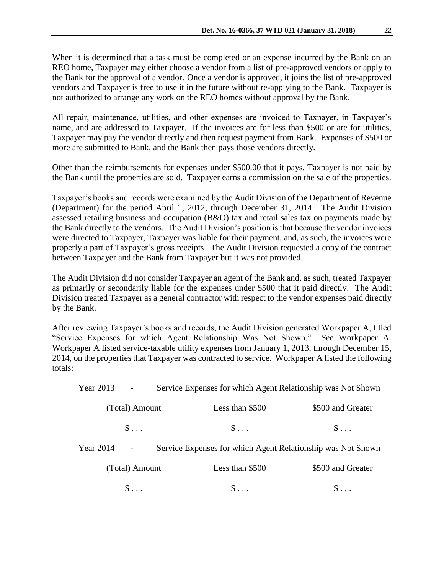When it is determined that a task must be completed or an expense incurred by the Bank on an REO home, Taxpayer may either choose a vendor from a list of pre-approved vendors or apply to the Bank for the approval of a vendor. Once a vendor is approved, it joins the list of pre-approved vendors and Taxpayer is free to use it in the future without re-applying to the Bank. Taxpayer is not authorized to arrange any work on the REO homes without approval by the Bank.

All repair, maintenance, utilities, and other expenses are invoiced to Taxpayer, in Taxpayer's name, and are addressed to Taxpayer. If the invoices are for less than \$500 or are for utilities, Taxpayer may pay the vendor directly and then request payment from Bank. Expenses of \$500 or more are submitted to Bank, and the Bank then pays those vendors directly.

Other than the reimbursements for expenses under \$500.00 that it pays, Taxpayer is not paid by the Bank until the properties are sold. Taxpayer earns a commission on the sale of the properties.

Taxpayer's books and records were examined by the Audit Division of the Department of Revenue (Department) for the period April 1, 2012, through December 31, 2014. The Audit Division assessed retailing business and occupation (B&O) tax and retail sales tax on payments made by the Bank directly to the vendors. The Audit Division's position is that because the vendor invoices were directed to Taxpayer, Taxpayer was liable for their payment, and, as such, the invoices were properly a part of Taxpayer's gross receipts. The Audit Division requested a copy of the contract between Taxpayer and the Bank from Taxpayer but it was not provided.

The Audit Division did not consider Taxpayer an agent of the Bank and, as such, treated Taxpayer as primarily or secondarily liable for the expenses under \$500 that it paid directly. The Audit Division treated Taxpayer as a general contractor with respect to the vendor expenses paid directly by the Bank.

After reviewing Taxpayer's books and records, the Audit Division generated Workpaper A, titled "Service Expenses for which Agent Relationship Was Not Shown." *See* Workpaper A. Workpaper A listed service-taxable utility expenses from January 1, 2013, through December 15, 2014, on the properties that Taxpayer was contracted to service. Workpaper A listed the following totals:

Year 2013 - Service Expenses for which Agent Relationship was Not Shown

|           | (Total) Amount   | Less than \$500                                             | \$500 and Greater |
|-----------|------------------|-------------------------------------------------------------|-------------------|
|           | $S_{\text{max}}$ | $\mathbb{S}$                                                | $S_{\rm max}$     |
| Year 2014 | $\sim$           | Service Expenses for which Agent Relationship was Not Shown |                   |

| (Total) Amount | Less than \$500 | \$500 and Greater |
|----------------|-----------------|-------------------|
|                |                 |                   |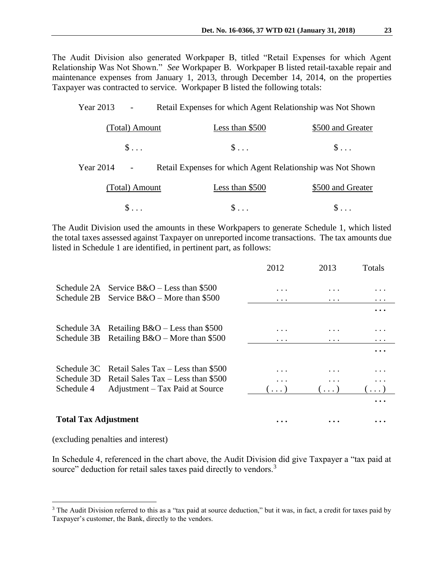The Audit Division also generated Workpaper B, titled "Retail Expenses for which Agent Relationship Was Not Shown." *See* Workpaper B. Workpaper B listed retail-taxable repair and maintenance expenses from January 1, 2013, through December 14, 2014, on the properties Taxpayer was contracted to service. Workpaper B listed the following totals:

| Year 2013 | $\overline{\phantom{a}}$ | Retail Expenses for which Agent Relationship was Not Shown |                    |
|-----------|--------------------------|------------------------------------------------------------|--------------------|
|           | (Total) Amount           | Less than \$500                                            | \$500 and Greater  |
|           | $\mathsf{S} \dots$       | $\$\ldots$                                                 | $\mathsf{S} \dots$ |
| Year 2014 |                          | Retail Expenses for which Agent Relationship was Not Shown |                    |
|           | (Total) Amount           | Less than \$500                                            | \$500 and Greater  |
|           | $\$\ldots$               | $\S \dots$                                                 | $\S \ldots$        |

The Audit Division used the amounts in these Workpapers to generate Schedule 1, which listed the total taxes assessed against Taxpayer on unreported income transactions. The tax amounts due listed in Schedule 1 are identified, in pertinent part, as follows:

|                             |                                                 | 2012       | 2013       | Totals     |
|-----------------------------|-------------------------------------------------|------------|------------|------------|
|                             | Schedule 2A Service $B&O$ – Less than \$500     | .          |            |            |
|                             | Schedule 2B Service $B&O$ – More than \$500     | .          | .          | $\cdots$   |
|                             |                                                 |            |            |            |
|                             | Schedule 3A Retailing $B&O -$ Less than \$500   | .          |            | .          |
|                             | Schedule $3B$ Retailing $B&O$ – More than \$500 | .          | .          | $\cdots$   |
|                             |                                                 |            |            |            |
|                             | Schedule 3C Retail Sales Tax - Less than \$500  | .          |            | .          |
|                             | Schedule 3D Retail Sales Tax – Less than \$500  | .          |            | $\cdots$   |
| Schedule 4                  | Adjustment – Tax Paid at Source                 | $(\ldots)$ | $(\ldots)$ | $\ldots$ ) |
|                             |                                                 |            |            |            |
| <b>Total Tax Adjustment</b> |                                                 | $\cdots$   |            |            |

# (excluding penalties and interest)

 $\overline{a}$ 

In Schedule 4, referenced in the chart above, the Audit Division did give Taxpayer a "tax paid at source" deduction for retail sales taxes paid directly to vendors.<sup>3</sup>

<sup>&</sup>lt;sup>3</sup> The Audit Division referred to this as a "tax paid at source deduction," but it was, in fact, a credit for taxes paid by Taxpayer's customer, the Bank, directly to the vendors.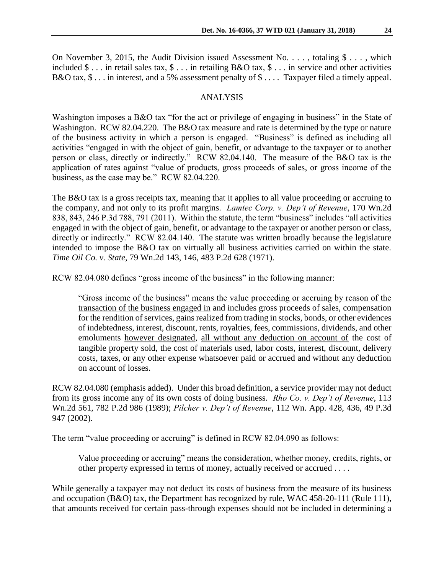On November 3, 2015, the Audit Division issued Assessment No.  $\dots$ , totaling \$ ..., which included \$ . . . in retail sales tax, \$ . . . in retailing B&O tax, \$ . . . in service and other activities B&O tax,  $\$\dots$  in interest, and a 5% assessment penalty of  $\$\dots$  Taxpayer filed a timely appeal.

### ANALYSIS

Washington imposes a B&O tax "for the act or privilege of engaging in business" in the State of Washington. RCW 82.04.220. The B&O tax measure and rate is determined by the type or nature of the business activity in which a person is engaged. "Business" is defined as including all activities "engaged in with the object of gain, benefit, or advantage to the taxpayer or to another person or class, directly or indirectly." RCW 82.04.140. The measure of the B&O tax is the application of rates against "value of products, gross proceeds of sales, or gross income of the business, as the case may be." RCW 82.04.220.

The B&O tax is a gross receipts tax, meaning that it applies to all value proceeding or accruing to the company, and not only to its profit margins. *Lamtec Corp. v. Dep't of Revenue*, 170 Wn.2d 838, 843, 246 P.3d 788, 791 (2011). Within the statute, the term "business" includes "all activities engaged in with the object of gain, benefit, or advantage to the taxpayer or another person or class, directly or indirectly." RCW 82.04.140. The statute was written broadly because the legislature intended to impose the B&O tax on virtually all business activities carried on within the state. *Time Oil Co. v. State,* 79 Wn.2d 143, 146, 483 P.2d 628 (1971).

RCW 82.04.080 defines "gross income of the business" in the following manner:

"Gross income of the business" means the value proceeding or accruing by reason of the transaction of the business engaged in and includes gross proceeds of sales, compensation for the rendition of services, gains realized from trading in stocks, bonds, or other evidences of indebtedness, interest, discount, rents, royalties, fees, commissions, dividends, and other emoluments however designated, all without any deduction on account of the cost of tangible property sold, the cost of materials used, labor costs, interest, discount, delivery costs, taxes, or any other expense whatsoever paid or accrued and without any deduction on account of losses.

RCW 82.04.080 (emphasis added). Under this broad definition, a service provider may not deduct from its gross income any of its own costs of doing business. *Rho Co. v. Dep't of Revenue*, 113 Wn.2d 561, 782 P.2d 986 (1989); *Pilcher v. Dep't of Revenue*, 112 Wn. App. 428, 436, 49 P.3d 947 (2002).

The term "value proceeding or accruing" is defined in RCW 82.04.090 as follows:

Value proceeding or accruing" means the consideration, whether money, credits, rights, or other property expressed in terms of money, actually received or accrued . . . .

While generally a taxpayer may not deduct its costs of business from the measure of its business and occupation (B&O) tax, the Department has recognized by rule, WAC 458-20-111 (Rule 111), that amounts received for certain pass-through expenses should not be included in determining a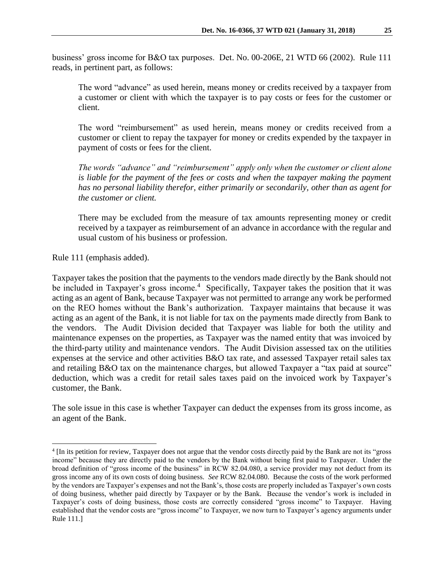business' gross income for B&O tax purposes. Det. No. 00-206E, 21 WTD 66 (2002). Rule 111 reads, in pertinent part, as follows:

The word "advance" as used herein, means money or credits received by a taxpayer from a customer or client with which the taxpayer is to pay costs or fees for the customer or client.

The word "reimbursement" as used herein, means money or credits received from a customer or client to repay the taxpayer for money or credits expended by the taxpayer in payment of costs or fees for the client.

*The words "advance" and "reimbursement" apply only when the customer or client alone*  is liable for the payment of the fees or costs and when the taxpayer making the payment *has no personal liability therefor, either primarily or secondarily, other than as agent for the customer or client.*

There may be excluded from the measure of tax amounts representing money or credit received by a taxpayer as reimbursement of an advance in accordance with the regular and usual custom of his business or profession.

Rule 111 (emphasis added).

 $\overline{a}$ 

Taxpayer takes the position that the payments to the vendors made directly by the Bank should not be included in Taxpayer's gross income.<sup>4</sup> Specifically, Taxpayer takes the position that it was acting as an agent of Bank, because Taxpayer was not permitted to arrange any work be performed on the REO homes without the Bank's authorization. Taxpayer maintains that because it was acting as an agent of the Bank, it is not liable for tax on the payments made directly from Bank to the vendors. The Audit Division decided that Taxpayer was liable for both the utility and maintenance expenses on the properties, as Taxpayer was the named entity that was invoiced by the third-party utility and maintenance vendors. The Audit Division assessed tax on the utilities expenses at the service and other activities B&O tax rate, and assessed Taxpayer retail sales tax and retailing B&O tax on the maintenance charges, but allowed Taxpayer a "tax paid at source" deduction, which was a credit for retail sales taxes paid on the invoiced work by Taxpayer's customer, the Bank.

The sole issue in this case is whether Taxpayer can deduct the expenses from its gross income, as an agent of the Bank.

<sup>4</sup> [In its petition for review, Taxpayer does not argue that the vendor costs directly paid by the Bank are not its "gross income" because they are directly paid to the vendors by the Bank without being first paid to Taxpayer. Under the broad definition of "gross income of the business" in RCW 82.04.080, a service provider may not deduct from its gross income any of its own costs of doing business. *See* RCW 82.04.080. Because the costs of the work performed by the vendors are Taxpayer's expenses and not the Bank's, those costs are properly included as Taxpayer's own costs of doing business, whether paid directly by Taxpayer or by the Bank. Because the vendor's work is included in Taxpayer's costs of doing business, those costs are correctly considered "gross income" to Taxpayer. Having established that the vendor costs are "gross income" to Taxpayer, we now turn to Taxpayer's agency arguments under Rule 111.]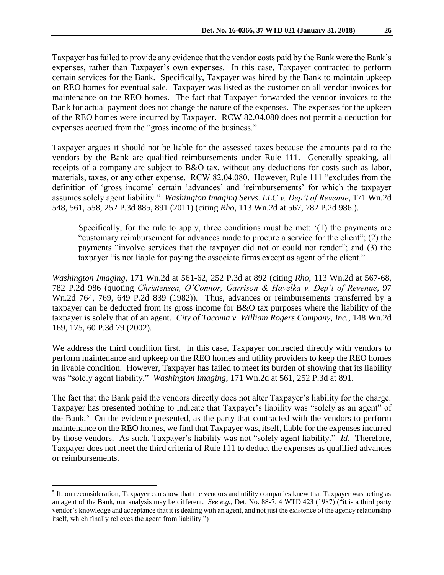Taxpayer has failed to provide any evidence that the vendor costs paid by the Bank were the Bank's expenses, rather than Taxpayer's own expenses. In this case, Taxpayer contracted to perform certain services for the Bank. Specifically, Taxpayer was hired by the Bank to maintain upkeep on REO homes for eventual sale. Taxpayer was listed as the customer on all vendor invoices for maintenance on the REO homes. The fact that Taxpayer forwarded the vendor invoices to the Bank for actual payment does not change the nature of the expenses. The expenses for the upkeep of the REO homes were incurred by Taxpayer. RCW 82.04.080 does not permit a deduction for expenses accrued from the "gross income of the business."

Taxpayer argues it should not be liable for the assessed taxes because the amounts paid to the vendors by the Bank are qualified reimbursements under Rule 111. Generally speaking, all receipts of a company are subject to B&O tax, without any deductions for costs such as labor, materials, taxes, or any other expense. RCW 82.04.080. However, Rule 111 "excludes from the definition of 'gross income' certain 'advances' and 'reimbursements' for which the taxpayer assumes solely agent liability." *Washington Imaging Servs. LLC v. Dep't of Revenue*, 171 Wn.2d 548, 561, 558, 252 P.3d 885, 891 (2011) (citing *Rho*, 113 Wn.2d at 567, 782 P.2d 986.).

Specifically, for the rule to apply, three conditions must be met: '(1) the payments are "customary reimbursement for advances made to procure a service for the client"; (2) the payments "involve services that the taxpayer did not or could not render"; and (3) the taxpayer "is not liable for paying the associate firms except as agent of the client."

*Washington Imaging,* 171 Wn.2d at 561-62, 252 P.3d at 892 (citing *Rho*, 113 Wn.2d at 567-68, 782 P.2d 986 (quoting *Christensen, O'Connor, Garrison & Havelka v. Dep't of Revenue*, 97 Wn.2d 764, 769, 649 P.2d 839 (1982)). Thus, advances or reimbursements transferred by a taxpayer can be deducted from its gross income for B&O tax purposes where the liability of the taxpayer is solely that of an agent. *City of Tacoma v. William Rogers Company, Inc.*, 148 Wn.2d 169, 175, 60 P.3d 79 (2002).

We address the third condition first. In this case, Taxpayer contracted directly with vendors to perform maintenance and upkeep on the REO homes and utility providers to keep the REO homes in livable condition. However, Taxpayer has failed to meet its burden of showing that its liability was "solely agent liability." *Washington Imaging*, 171 Wn.2d at 561, 252 P.3d at 891.

The fact that the Bank paid the vendors directly does not alter Taxpayer's liability for the charge. Taxpayer has presented nothing to indicate that Taxpayer's liability was "solely as an agent" of the Bank.<sup>5</sup> On the evidence presented, as the party that contracted with the vendors to perform maintenance on the REO homes, we find that Taxpayer was, itself, liable for the expenses incurred by those vendors. As such, Taxpayer's liability was not "solely agent liability." *Id*. Therefore, Taxpayer does not meet the third criteria of Rule 111 to deduct the expenses as qualified advances or reimbursements.

 $\overline{a}$ 

<sup>&</sup>lt;sup>5</sup> If, on reconsideration, Taxpayer can show that the vendors and utility companies knew that Taxpayer was acting as an agent of the Bank, our analysis may be different. *See e.g.,* Det. No. 88-7, 4 WTD 423 (1987) ("it is a third party vendor's knowledge and acceptance that it is dealing with an agent, and not just the existence of the agency relationship itself, which finally relieves the agent from liability.")